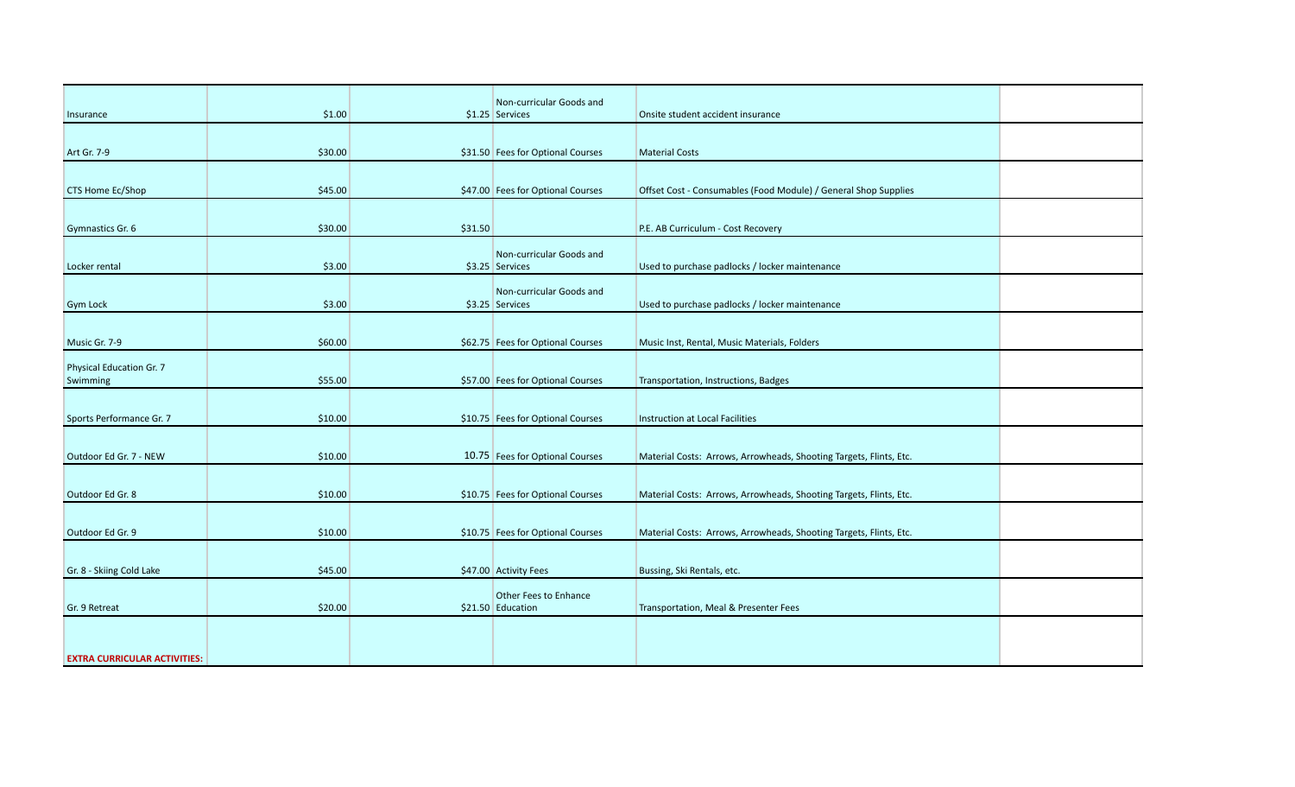|                                      |         |         | Non-curricular Goods and                    |                                                                    |  |
|--------------------------------------|---------|---------|---------------------------------------------|--------------------------------------------------------------------|--|
| Insurance                            | \$1.00  |         | $$1.25$ Services                            | Onsite student accident insurance                                  |  |
| Art Gr. 7-9                          | \$30.00 |         | \$31.50 Fees for Optional Courses           | <b>Material Costs</b>                                              |  |
| <b>CTS Home Ec/Shop</b>              | \$45.00 |         | \$47.00 Fees for Optional Courses           | Offset Cost - Consumables (Food Module) / General Shop Supplies    |  |
| Gymnastics Gr. 6                     | \$30.00 | \$31.50 |                                             | P.E. AB Curriculum - Cost Recovery                                 |  |
| Locker rental                        | \$3.00  |         | Non-curricular Goods and<br>\$3.25 Services | Used to purchase padlocks / locker maintenance                     |  |
| <b>Gym Lock</b>                      | \$3.00  |         | Non-curricular Goods and<br>\$3.25 Services | Used to purchase padlocks / locker maintenance                     |  |
| Music Gr. 7-9                        | \$60.00 |         | \$62.75 Fees for Optional Courses           | Music Inst, Rental, Music Materials, Folders                       |  |
| Physical Education Gr. 7<br>Swimming | \$55.00 |         | \$57.00 Fees for Optional Courses           | Transportation, Instructions, Badges                               |  |
| Sports Performance Gr. 7             | \$10.00 |         | \$10.75 Fees for Optional Courses           | <b>Instruction at Local Facilities</b>                             |  |
| Outdoor Ed Gr. 7 - NEW               | \$10.00 |         | 10.75 Fees for Optional Courses             | Material Costs: Arrows, Arrowheads, Shooting Targets, Flints, Etc. |  |
| Outdoor Ed Gr. 8                     | \$10.00 |         | \$10.75 Fees for Optional Courses           | Material Costs: Arrows, Arrowheads, Shooting Targets, Flints, Etc. |  |
| Outdoor Ed Gr. 9                     | \$10.00 |         | \$10.75 Fees for Optional Courses           | Material Costs: Arrows, Arrowheads, Shooting Targets, Flints, Etc. |  |
| Gr. 8 - Skiing Cold Lake             | \$45.00 |         | \$47.00 Activity Fees                       | Bussing, Ski Rentals, etc.                                         |  |
| Gr. 9 Retreat                        | \$20.00 |         | Other Fees to Enhance<br>\$21.50 Education  | Transportation, Meal & Presenter Fees                              |  |
| <b>EXTRA CURRICULAR ACTIVITIES:</b>  |         |         |                                             |                                                                    |  |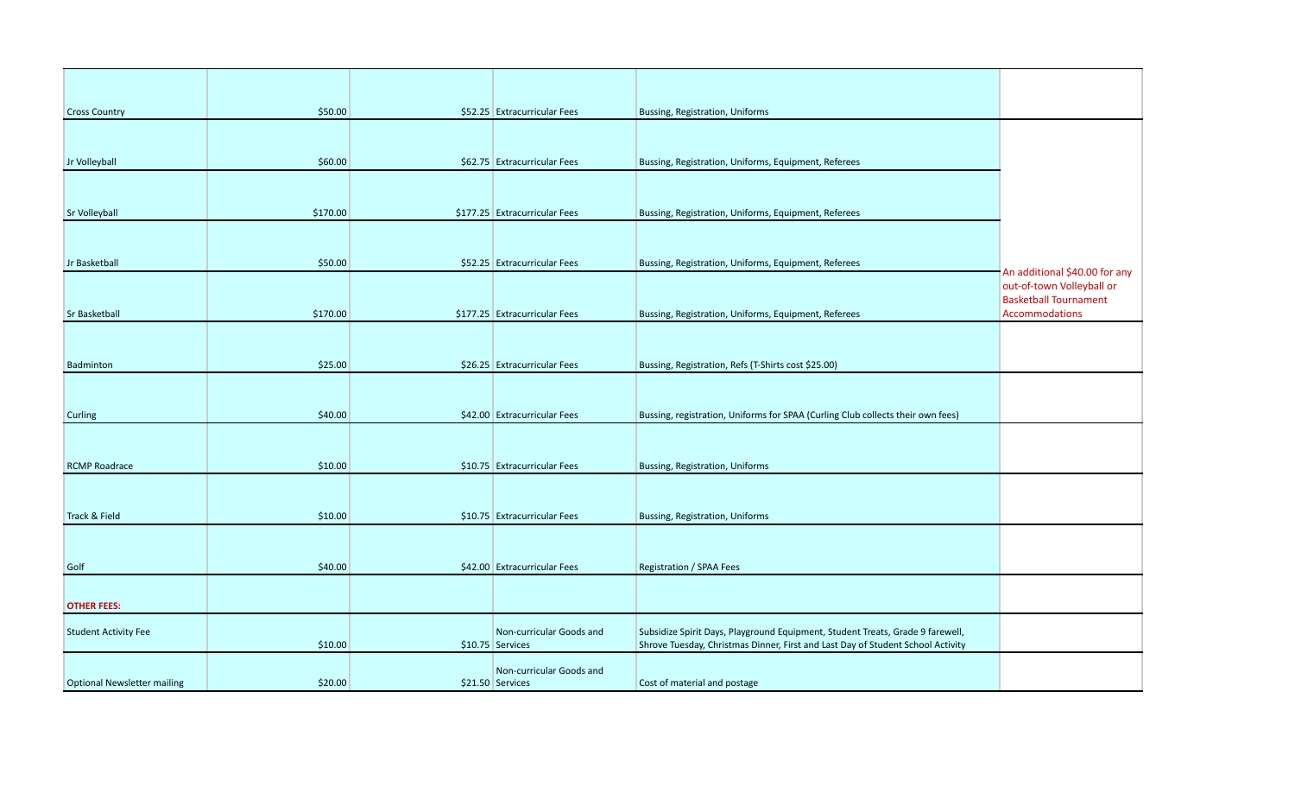| <b>Cross Country</b>               | \$50.00  | \$52.25 Extracurricular Fees                 | Bussing, Registration, Uniforms                                                                                                                                   |                                                            |
|------------------------------------|----------|----------------------------------------------|-------------------------------------------------------------------------------------------------------------------------------------------------------------------|------------------------------------------------------------|
|                                    |          |                                              |                                                                                                                                                                   |                                                            |
| Jr Volleyball                      | \$60.00  | \$62.75 Extracurricular Fees                 | Bussing, Registration, Uniforms, Equipment, Referees                                                                                                              |                                                            |
|                                    |          |                                              |                                                                                                                                                                   |                                                            |
| <b>Sr Volleyball</b>               | \$170.00 | \$177.25 Extracurricular Fees                | Bussing, Registration, Uniforms, Equipment, Referees                                                                                                              |                                                            |
|                                    |          |                                              |                                                                                                                                                                   |                                                            |
| Jr Basketball                      | \$50.00  | \$52.25 Extracurricular Fees                 | Bussing, Registration, Uniforms, Equipment, Referees                                                                                                              |                                                            |
|                                    |          |                                              |                                                                                                                                                                   | An additional \$40.00 for any<br>out-of-town Volleyball or |
| <b>Sr Basketball</b>               | \$170.00 | \$177.25 Extracurricular Fees                | Bussing, Registration, Uniforms, Equipment, Referees                                                                                                              | <b>Basketball Tournament</b><br>Accommodations             |
|                                    |          |                                              |                                                                                                                                                                   |                                                            |
| Badminton                          | \$25.00  | \$26.25 Extracurricular Fees                 | Bussing, Registration, Refs (T-Shirts cost \$25.00)                                                                                                               |                                                            |
|                                    |          |                                              |                                                                                                                                                                   |                                                            |
| Curling                            | \$40.00  | \$42.00 Extracurricular Fees                 | Bussing, registration, Uniforms for SPAA (Curling Club collects their own fees)                                                                                   |                                                            |
|                                    |          |                                              |                                                                                                                                                                   |                                                            |
| <b>RCMP Roadrace</b>               | \$10.00  | \$10.75 Extracurricular Fees                 | Bussing, Registration, Uniforms                                                                                                                                   |                                                            |
|                                    |          |                                              |                                                                                                                                                                   |                                                            |
| Track & Field                      | \$10.00  | \$10.75 Extracurricular Fees                 | Bussing, Registration, Uniforms                                                                                                                                   |                                                            |
|                                    |          |                                              |                                                                                                                                                                   |                                                            |
| Golf                               | \$40.00  | \$42.00 Extracurricular Fees                 | Registration / SPAA Fees                                                                                                                                          |                                                            |
|                                    |          |                                              |                                                                                                                                                                   |                                                            |
| <b>OTHER FEES:</b>                 |          |                                              |                                                                                                                                                                   |                                                            |
| <b>Student Activity Fee</b>        | \$10.00  | Non-curricular Goods and<br>\$10.75 Services | Subsidize Spirit Days, Playground Equipment, Student Treats, Grade 9 farewell,<br>Shrove Tuesday, Christmas Dinner, First and Last Day of Student School Activity |                                                            |
|                                    |          |                                              |                                                                                                                                                                   |                                                            |
| <b>Optional Newsletter mailing</b> | \$20.00  | Non-curricular Goods and<br>\$21.50 Services | Cost of material and postage                                                                                                                                      |                                                            |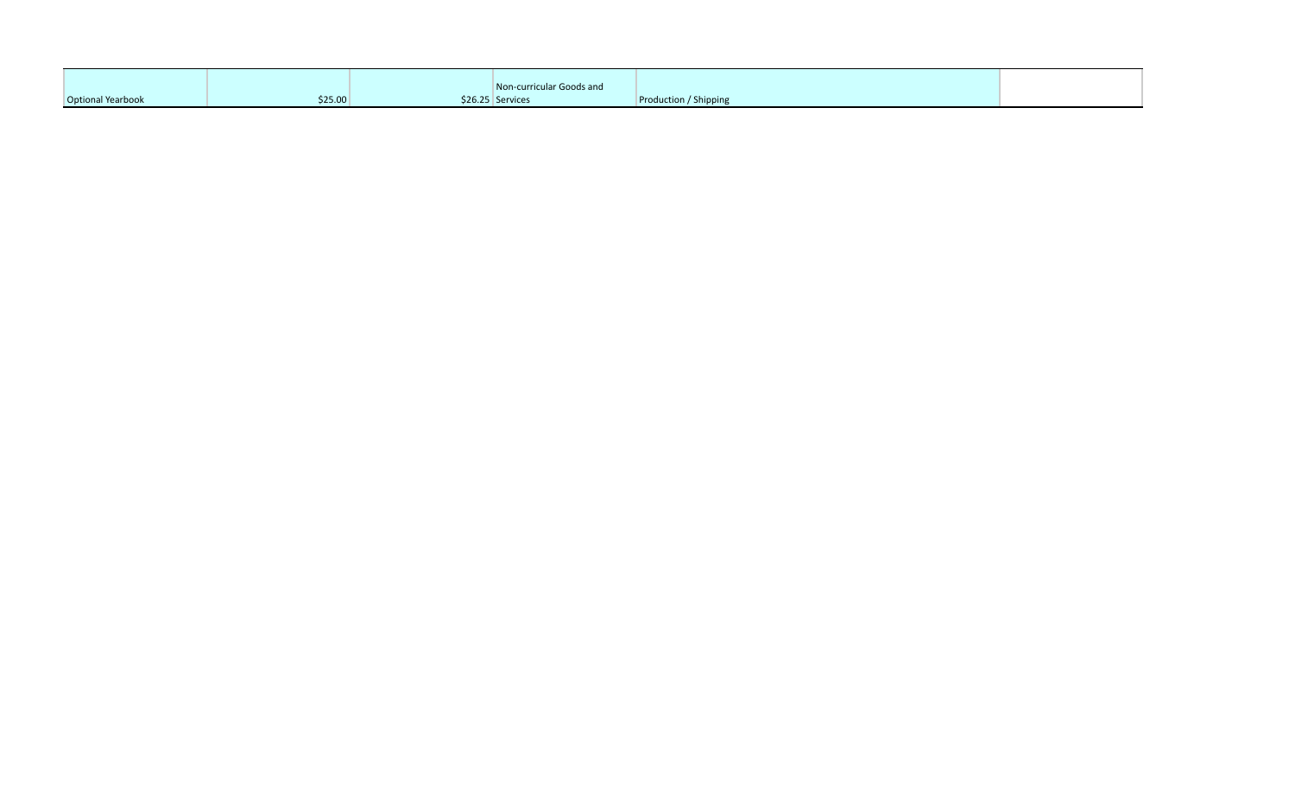|                   |         | Non-curricular Goods and |                       |  |
|-------------------|---------|--------------------------|-----------------------|--|
| Optional Yearbook | \$25.00 | \$26.25 Services         | Production / Shipping |  |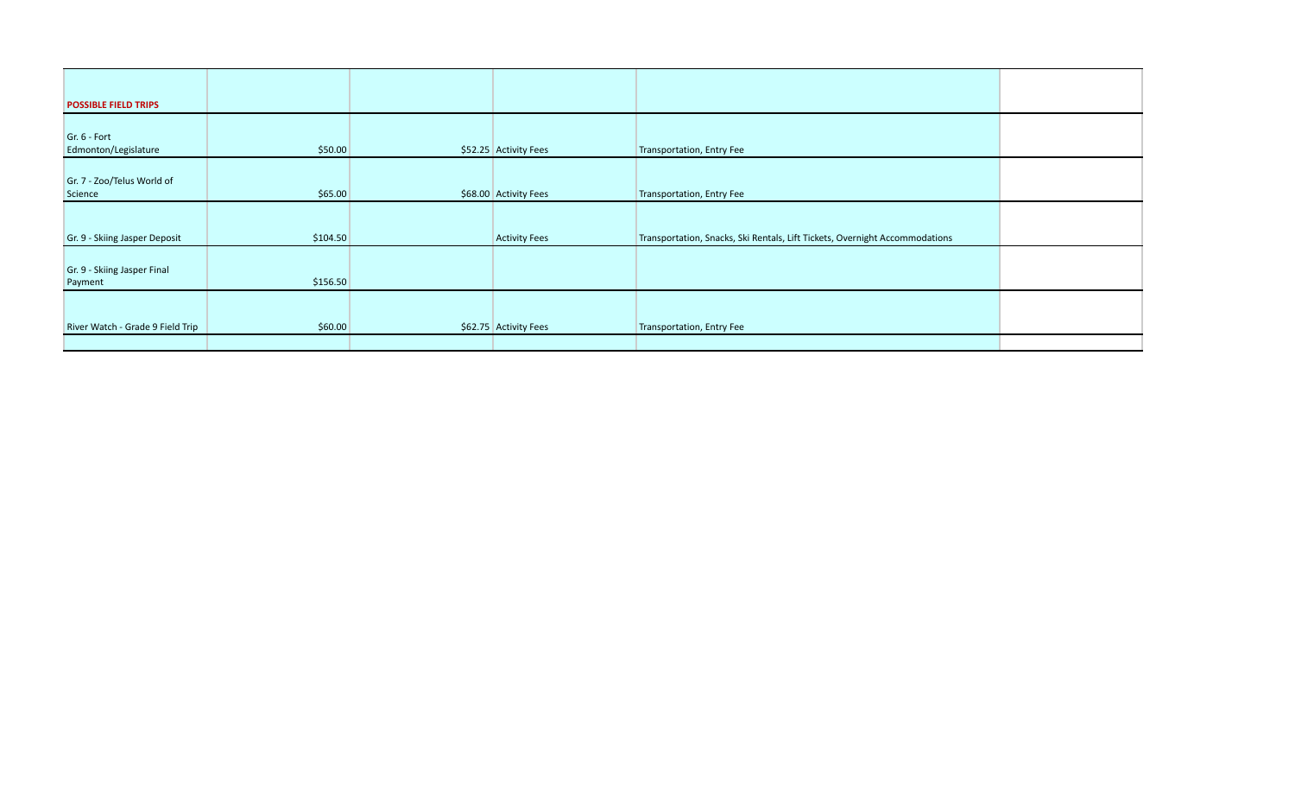| <b>POSSIBLE FIELD TRIPS</b>            |          |                       |                                                                             |  |
|----------------------------------------|----------|-----------------------|-----------------------------------------------------------------------------|--|
|                                        |          |                       |                                                                             |  |
| $Gr. 6$ - Fort<br>Edmonton/Legislature | \$50.00  | \$52.25 Activity Fees | Transportation, Entry Fee                                                   |  |
|                                        |          |                       |                                                                             |  |
| Gr. 7 - Zoo/Telus World of<br>Science  | \$65.00  | \$68.00 Activity Fees | Transportation, Entry Fee                                                   |  |
|                                        |          |                       |                                                                             |  |
| Gr. 9 - Skiing Jasper Deposit          | \$104.50 | <b>Activity Fees</b>  | Transportation, Snacks, Ski Rentals, Lift Tickets, Overnight Accommodations |  |
|                                        |          |                       |                                                                             |  |
| Gr. 9 - Skiing Jasper Final<br>Payment | \$156.50 |                       |                                                                             |  |
|                                        |          |                       |                                                                             |  |
| River Watch - Grade 9 Field Trip       | \$60.00  | \$62.75 Activity Fees | Transportation, Entry Fee                                                   |  |
|                                        |          |                       |                                                                             |  |